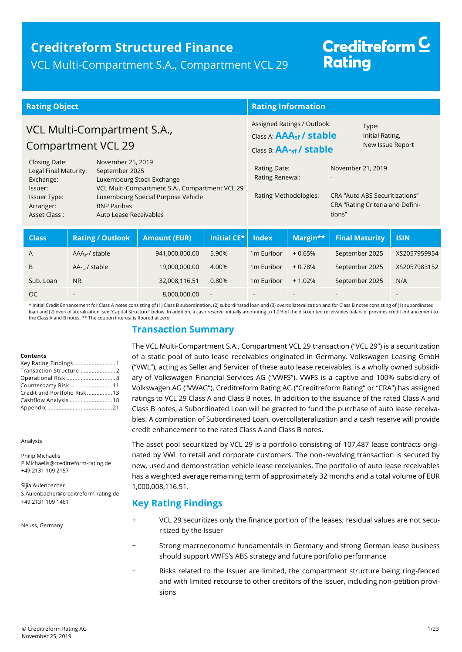### **Creditreform Structured Finance** VCL Multi-Compartment S.A., Compartment VCL 29

# Creditreform<sup>C</sup> **Rating**

| <b>Rating Object</b>                                                                                                                                                                         |                                                                                           |                                 |                                                                                               | <b>Rating Information</b>              |                                              |                               |  |                                         |  |
|----------------------------------------------------------------------------------------------------------------------------------------------------------------------------------------------|-------------------------------------------------------------------------------------------|---------------------------------|-----------------------------------------------------------------------------------------------|----------------------------------------|----------------------------------------------|-------------------------------|--|-----------------------------------------|--|
| VCL Multi-Compartment S.A.,<br><b>Compartment VCL 29</b>                                                                                                                                     |                                                                                           |                                 | Assigned Ratings / Outlook:<br>Class A: AAA <sub>sf</sub> / stable<br>Class B: AA-sf / stable |                                        | Type:<br>Initial Rating,<br>New Issue Report |                               |  |                                         |  |
| Closing Date:<br>Exchange:                                                                                                                                                                   | November 25, 2019<br>Legal Final Maturity:<br>September 2025<br>Luxembourg Stock Exchange |                                 | Rating Date:<br>November 21, 2019<br>Rating Renewal:                                          |                                        |                                              |                               |  |                                         |  |
| VCL Multi-Compartment S.A., Compartment VCL 29<br>Issuer:<br>Luxembourg Special Purpose Vehicle<br>Issuer Type:<br><b>BNP Paribas</b><br>Arranger:<br>Auto Lease Receivables<br>Asset Class: |                                                                                           | Rating Methodologies:<br>tions" |                                                                                               | <b>CRA "Auto ABS Securitizations"</b>  | CRA "Rating Criteria and Defini-             |                               |  |                                         |  |
| $\sim$ 1.0 $\sim$ $\sim$                                                                                                                                                                     |                                                                                           |                                 |                                                                                               | <b>Australia American Institutions</b> |                                              | <b>In the committee shade</b> |  | <b>Contract Advanced Asset Contract</b> |  |

| <b>Class</b> | <b>Rating / Outlook</b>    | <b>Amount (EUR)</b> | Initial CE* | <b>Index</b>             | Margin**                 | <b>Final Maturity</b> | l Isin'      |
|--------------|----------------------------|---------------------|-------------|--------------------------|--------------------------|-----------------------|--------------|
| A            | AAA <sub>sf</sub> / stable | 941,000,000.00      | 5.90%       | 1 <sub>m</sub> Euribor   | $+0.65%$                 | September 2025        | XS2057959954 |
| B            | $AA_{\text{cf}}$ / stable  | 19,000,000.00       | 4.00%       | 1 <sub>m</sub> Euribor   | $+0.78%$                 | September 2025        | XS2057983152 |
| Sub. Loan    | N <sub>R</sub>             | 32,008,116.51       | 0.80%       | 1 <sub>m</sub> Euribor   | $+1.02%$                 | September 2025        | N/A          |
| <b>OC</b>    | $\overline{\phantom{0}}$   | 8,000,000.00        | $\sim$      | $\overline{\phantom{a}}$ | $\overline{\phantom{0}}$ |                       |              |

\* Initial Credit Enhancement for Class A notes consisting of (1) Class B subordination, (2) subordinated loan and (3) overcollateralization and for Class B notes consisting of (1) subordinated loan and (2) overcollateralization, see "Capital Structure" below. In addition, a cash reserve, initially amounting to 1.2% of the discounted receivables balance, provides credit enhancement to the Class A and B notes. \*\* The coupon interest is floored at zero.

### **Transaction Summary**

#### **Contents**

| Key Rating Findings  1      |  |
|-----------------------------|--|
|                             |  |
|                             |  |
| Counterparty Risk11         |  |
| Credit and Portfolio Risk13 |  |
| Cashflow Analysis 18        |  |
|                             |  |

Analysts

Philip Michaelis P.Michaelis@creditreform-rating.de +49 2131 109 2157

<span id="page-0-0"></span>Sijia Aulenbacher S.Aulenbacher@creditreform-rating.de +49 2131 109 1461

Neuss, Germany

The VCL Multi-Compartment S.A., Compartment VCL 29 transaction ("VCL 29") is a securitization of a static pool of auto lease receivables originated in Germany. Volkswagen Leasing GmbH ("VWL"), acting as Seller and Servicer of these auto lease receivables, is a wholly owned subsidiary of Volkswagen Financial Services AG ("VWFS"). VWFS is a captive and 100% subsidiary of Volkswagen AG ("VWAG"). Creditreform Rating AG ("Creditreform Rating" or "CRA") has assigned ratings to VCL 29 Class A and Class B notes. In addition to the issuance of the rated Class A and Class B notes, a Subordinated Loan will be granted to fund the purchase of auto lease receivables. A combination of Subordinated Loan, overcollateralization and a cash reserve will provide credit enhancement to the rated Class A and Class B notes.

The asset pool securitized by VCL 29 is a portfolio consisting of 107,487 lease contracts originated by VWL to retail and corporate customers. The non-revolving transaction is secured by new, used and demonstration vehicle lease receivables. The portfolio of auto lease receivables has a weighted average remaining term of approximately 32 months and a total volume of EUR 1,000,008,116.51.

### **Key Rating Findings**

- VCL 29 securitizes only the finance portion of the leases; residual values are not securitized by the Issuer
- Strong macroeconomic fundamentals in Germany and strong German lease business should support VWFS's ABS strategy and future portfolio performance
- Risks related to the Issuer are limited, the compartment structure being ring-fenced and with limited recourse to other creditors of the Issuer, including non-petition provisions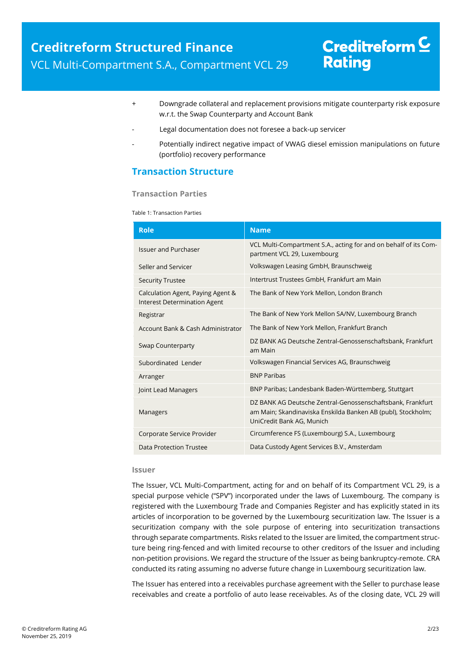- + Downgrade collateral and replacement provisions mitigate counterparty risk exposure w.r.t. the Swap Counterparty and Account Bank
- Legal documentation does not foresee a back-up servicer
- Potentially indirect negative impact of VWAG diesel emission manipulations on future (portfolio) recovery performance

### <span id="page-1-0"></span>**Transaction Structure**

#### **Transaction Parties**

Table 1: Transaction Parties

| <b>Role</b>                                                       | <b>Name</b>                                                                                                                                             |  |  |
|-------------------------------------------------------------------|---------------------------------------------------------------------------------------------------------------------------------------------------------|--|--|
| <b>Issuer and Purchaser</b>                                       | VCL Multi-Compartment S.A., acting for and on behalf of its Com-<br>partment VCL 29, Luxembourg                                                         |  |  |
| Seller and Servicer                                               | Volkswagen Leasing GmbH, Braunschweig                                                                                                                   |  |  |
| <b>Security Trustee</b>                                           | Intertrust Trustees GmbH, Frankfurt am Main                                                                                                             |  |  |
| Calculation Agent, Paying Agent &<br>Interest Determination Agent | The Bank of New York Mellon, London Branch                                                                                                              |  |  |
| Registrar                                                         | The Bank of New York Mellon SA/NV, Luxembourg Branch                                                                                                    |  |  |
| Account Bank & Cash Administrator                                 | The Bank of New York Mellon, Frankfurt Branch                                                                                                           |  |  |
| <b>Swap Counterparty</b>                                          | DZ BANK AG Deutsche Zentral-Genossenschaftsbank, Frankfurt<br>am Main                                                                                   |  |  |
| Subordinated Lender                                               | Volkswagen Financial Services AG, Braunschweig                                                                                                          |  |  |
| Arranger                                                          | <b>BNP Paribas</b>                                                                                                                                      |  |  |
| Joint Lead Managers                                               | BNP Paribas; Landesbank Baden-Württemberg, Stuttgart                                                                                                    |  |  |
| Managers                                                          | DZ BANK AG Deutsche Zentral-Genossenschaftsbank, Frankfurt<br>am Main; Skandinaviska Enskilda Banken AB (publ), Stockholm;<br>UniCredit Bank AG, Munich |  |  |
| Corporate Service Provider                                        | Circumference FS (Luxembourg) S.A., Luxembourg                                                                                                          |  |  |
| Data Protection Trustee                                           | Data Custody Agent Services B.V., Amsterdam                                                                                                             |  |  |

#### **Issuer**

The Issuer, VCL Multi-Compartment, acting for and on behalf of its Compartment VCL 29, is a special purpose vehicle ("SPV") incorporated under the laws of Luxembourg. The company is registered with the Luxembourg Trade and Companies Register and has explicitly stated in its articles of incorporation to be governed by the Luxembourg securitization law. The Issuer is a securitization company with the sole purpose of entering into securitization transactions through separate compartments. Risks related to the Issuer are limited, the compartment structure being ring-fenced and with limited recourse to other creditors of the Issuer and including non-petition provisions. We regard the structure of the Issuer as being bankruptcy-remote. CRA conducted its rating assuming no adverse future change in Luxembourg securitization law.

The Issuer has entered into a receivables purchase agreement with the Seller to purchase lease receivables and create a portfolio of auto lease receivables. As of the closing date, VCL 29 will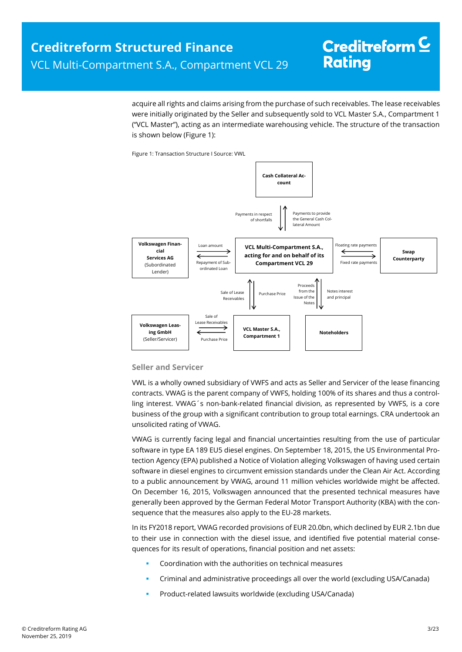acquire all rights and claims arising from the purchase of such receivables. The lease receivables were initially originated by the Seller and subsequently sold to VCL Master S.A., Compartment 1 ("VCL Master"), acting as an intermediate warehousing vehicle. The structure of the transaction is shown below [\(Figure 1\)](#page-2-0):

Figure 1: Transaction Structure I Source: VWL

<span id="page-2-0"></span>

#### **Seller and Servicer**

VWL is a wholly owned subsidiary of VWFS and acts as Seller and Servicer of the lease financing contracts. VWAG is the parent company of VWFS, holding 100% of its shares and thus a controlling interest. VWAG´s non-bank-related financial division, as represented by VWFS, is a core business of the group with a significant contribution to group total earnings. CRA undertook an unsolicited rating of VWAG.

VWAG is currently facing legal and financial uncertainties resulting from the use of particular software in type EA 189 EU5 diesel engines. On September 18, 2015, the US Environmental Protection Agency (EPA) published a Notice of Violation alleging Volkswagen of having used certain software in diesel engines to circumvent emission standards under the Clean Air Act. According to a public announcement by VWAG, around 11 million vehicles worldwide might be affected. On December 16, 2015, Volkswagen announced that the presented technical measures have generally been approved by the German Federal Motor Transport Authority (KBA) with the consequence that the measures also apply to the EU-28 markets.

In its FY2018 report, VWAG recorded provisions of EUR 20.0bn, which declined by EUR 2.1bn due to their use in connection with the diesel issue, and identified five potential material consequences for its result of operations, financial position and net assets:

- Coordination with the authorities on technical measures
- Criminal and administrative proceedings all over the world (excluding USA/Canada)
- Product-related lawsuits worldwide (excluding USA/Canada)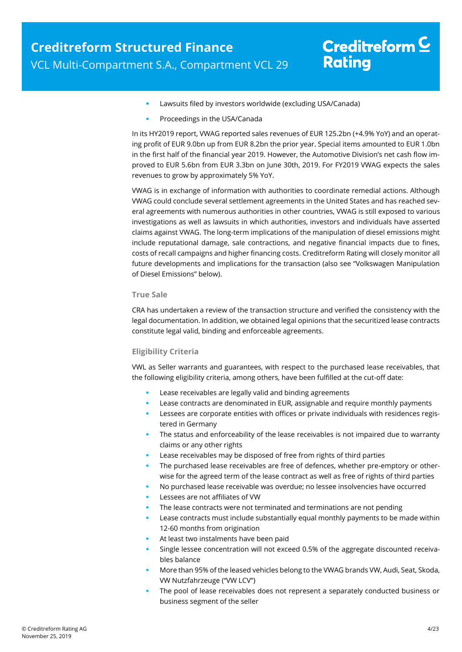- Lawsuits filed by investors worldwide (excluding USA/Canada)
- Proceedings in the USA/Canada

In its HY2019 report, VWAG reported sales revenues of EUR 125.2bn (+4.9% YoY) and an operating profit of EUR 9.0bn up from EUR 8.2bn the prior year. Special items amounted to EUR 1.0bn in the first half of the financial year 2019. However, the Automotive Division's net cash flow improved to EUR 5.6bn from EUR 3.3bn on June 30th, 2019. For FY2019 VWAG expects the sales revenues to grow by approximately 5% YoY.

VWAG is in exchange of information with authorities to coordinate remedial actions. Although VWAG could conclude several settlement agreements in the United States and has reached several agreements with numerous authorities in other countries, VWAG is still exposed to various investigations as well as lawsuits in which authorities, investors and individuals have asserted claims against VWAG. The long-term implications of the manipulation of diesel emissions might include reputational damage, sale contractions, and negative financial impacts due to fines, costs of recall campaigns and higher financing costs. Creditreform Rating will closely monitor all future developments and implications for the transaction (also see "Volkswagen Manipulation of Diesel Emissions" below).

#### **True Sale**

CRA has undertaken a review of the transaction structure and verified the consistency with the legal documentation. In addition, we obtained legal opinions that the securitized lease contracts constitute legal valid, binding and enforceable agreements.

#### **Eligibility Criteria**

VWL as Seller warrants and guarantees, with respect to the purchased lease receivables, that the following eligibility criteria, among others, have been fulfilled at the cut-off date:

- Lease receivables are legally valid and binding agreements
- Lease contracts are denominated in EUR, assignable and require monthly payments
- **Lessees are corporate entities with offices or private individuals with residences regis**tered in Germany
- The status and enforceability of the lease receivables is not impaired due to warranty claims or any other rights
- Lease receivables may be disposed of free from rights of third parties
- **The purchased lease receivables are free of defences, whether pre-emptory or other**wise for the agreed term of the lease contract as well as free of rights of third parties
- No purchased lease receivable was overdue; no lessee insolvencies have occurred
- Lessees are not affiliates of VW
- The lease contracts were not terminated and terminations are not pending
- Lease contracts must include substantially equal monthly payments to be made within 12-60 months from origination
- At least two instalments have been paid
- Single lessee concentration will not exceed 0.5% of the aggregate discounted receivables balance
- More than 95% of the leased vehicles belong to the VWAG brands VW, Audi, Seat, Skoda, VW Nutzfahrzeuge ("VW LCV")
- The pool of lease receivables does not represent a separately conducted business or business segment of the seller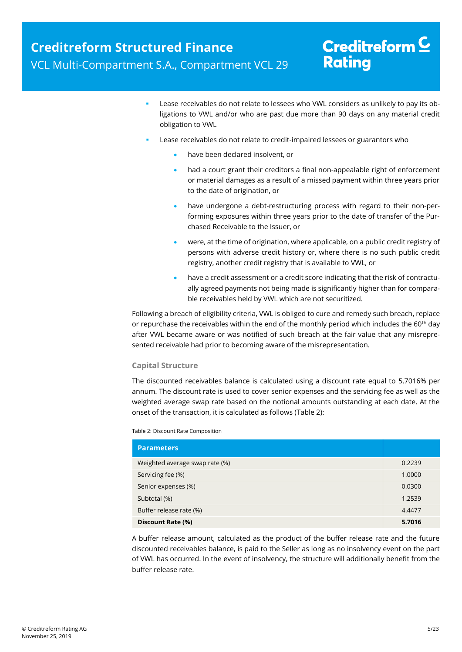- Lease receivables do not relate to lessees who VWL considers as unlikely to pay its obligations to VWL and/or who are past due more than 90 days on any material credit obligation to VWL
- Lease receivables do not relate to credit-impaired lessees or guarantors who
	- have been declared insolvent, or
	- had a court grant their creditors a final non-appealable right of enforcement or material damages as a result of a missed payment within three years prior to the date of origination, or
	- have undergone a debt-restructuring process with regard to their non-performing exposures within three years prior to the date of transfer of the Purchased Receivable to the Issuer, or
	- were, at the time of origination, where applicable, on a public credit registry of persons with adverse credit history or, where there is no such public credit registry, another credit registry that is available to VWL, or
	- have a credit assessment or a credit score indicating that the risk of contractually agreed payments not being made is significantly higher than for comparable receivables held by VWL which are not securitized.

Following a breach of eligibility criteria, VWL is obliged to cure and remedy such breach, replace or repurchase the receivables within the end of the monthly period which includes the  $60<sup>th</sup>$  day after VWL became aware or was notified of such breach at the fair value that any misrepresented receivable had prior to becoming aware of the misrepresentation.

#### **Capital Structure**

The discounted receivables balance is calculated using a discount rate equal to 5.7016% per annum. The discount rate is used to cover senior expenses and the servicing fee as well as the weighted average swap rate based on the notional amounts outstanding at each date. At the onset of the transaction, it is calculated as follows [\(Table 2\)](#page-4-0):

<span id="page-4-0"></span>Table 2: Discount Rate Composition

| <b>Parameters</b>              |        |
|--------------------------------|--------|
| Weighted average swap rate (%) | 0.2239 |
| Servicing fee (%)              | 1.0000 |
| Senior expenses (%)            | 0.0300 |
| Subtotal (%)                   | 1.2539 |
| Buffer release rate (%)        | 4.4477 |
| Discount Rate (%)              | 5.7016 |

A buffer release amount, calculated as the product of the buffer release rate and the future discounted receivables balance, is paid to the Seller as long as no insolvency event on the part of VWL has occurred. In the event of insolvency, the structure will additionally benefit from the buffer release rate.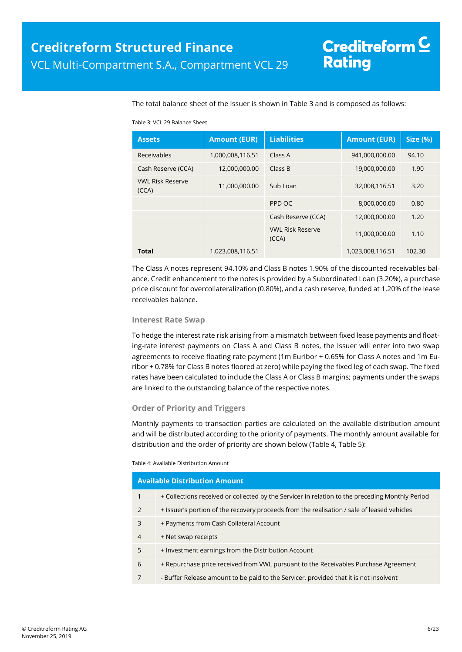The total balance sheet of the Issuer is shown in [Table 3](#page-5-0) and is composed as follows:

#### <span id="page-5-0"></span>Table 3: VCL 29 Balance Sheet

| <b>Assets</b>                    | <b>Amount (EUR)</b> | <b>Liabilities</b>               | <b>Amount (EUR)</b> | Size (%) |
|----------------------------------|---------------------|----------------------------------|---------------------|----------|
| Receivables                      | 1,000,008,116.51    | Class A                          | 941,000,000.00      | 94.10    |
| Cash Reserve (CCA)               | 12,000,000.00       | Class B                          | 19,000,000.00       | 1.90     |
| <b>VWL Risk Reserve</b><br>(CCA) | 11,000,000.00       | Sub Loan                         | 32,008,116.51       | 3.20     |
|                                  |                     | PPD OC                           | 8,000,000.00        | 0.80     |
|                                  |                     | Cash Reserve (CCA)               | 12,000,000.00       | 1.20     |
|                                  |                     | <b>VWL Risk Reserve</b><br>(CCA) | 11,000,000.00       | 1.10     |
| <b>Total</b>                     | 1,023,008,116.51    |                                  | 1,023,008,116.51    | 102.30   |

The Class A notes represent 94.10% and Class B notes 1.90% of the discounted receivables balance. Credit enhancement to the notes is provided by a Subordinated Loan (3.20%), a purchase price discount for overcollateralization (0.80%), and a cash reserve, funded at 1.20% of the lease receivables balance.

#### **Interest Rate Swap**

To hedge the interest rate risk arising from a mismatch between fixed lease payments and floating-rate interest payments on Class A and Class B notes, the Issuer will enter into two swap agreements to receive floating rate payment (1m Euribor + 0.65% for Class A notes and 1m Euribor + 0.78% for Class B notes floored at zero) while paying the fixed leg of each swap. The fixed rates have been calculated to include the Class A or Class B margins; payments under the swaps are linked to the outstanding balance of the respective notes.

#### **Order of Priority and Triggers**

Monthly payments to transaction parties are calculated on the available distribution amount and will be distributed according to the priority of payments. The monthly amount available for distribution and the order of priority are shown below [\(Table 4,](#page-5-1) [Table 5\)](#page-6-0):

#### <span id="page-5-1"></span>Table 4: Available Distribution Amount

|                | <b>Available Distribution Amount</b>                                                            |  |  |  |
|----------------|-------------------------------------------------------------------------------------------------|--|--|--|
| $\mathbf{1}$   | + Collections received or collected by the Servicer in relation to the preceding Monthly Period |  |  |  |
| $\mathcal{P}$  | + Issuer's portion of the recovery proceeds from the realisation / sale of leased vehicles      |  |  |  |
| 3              | + Payments from Cash Collateral Account                                                         |  |  |  |
| $\overline{4}$ | + Net swap receipts                                                                             |  |  |  |
| 5              | + Investment earnings from the Distribution Account                                             |  |  |  |
| 6              | + Repurchase price received from VWL pursuant to the Receivables Purchase Agreement             |  |  |  |
| 7              | - Buffer Release amount to be paid to the Servicer, provided that it is not insolvent           |  |  |  |
|                |                                                                                                 |  |  |  |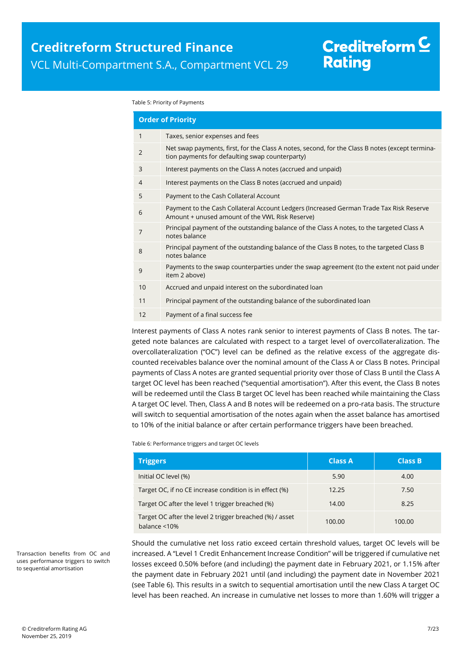#### <span id="page-6-1"></span><span id="page-6-0"></span>Table 5: Priority of Payments

| <b>Order of Priority</b> |                                                                                                                                                    |  |  |  |
|--------------------------|----------------------------------------------------------------------------------------------------------------------------------------------------|--|--|--|
| 1                        | Taxes, senior expenses and fees                                                                                                                    |  |  |  |
| $\overline{2}$           | Net swap payments, first, for the Class A notes, second, for the Class B notes (except termina-<br>tion payments for defaulting swap counterparty) |  |  |  |
| 3                        | Interest payments on the Class A notes (accrued and unpaid)                                                                                        |  |  |  |
| 4                        | Interest payments on the Class B notes (accrued and unpaid)                                                                                        |  |  |  |
| 5                        | Payment to the Cash Collateral Account                                                                                                             |  |  |  |
| 6                        | Payment to the Cash Collateral Account Ledgers (Increased German Trade Tax Risk Reserve<br>Amount + unused amount of the VWL Risk Reserve)         |  |  |  |
| 7                        | Principal payment of the outstanding balance of the Class A notes, to the targeted Class A<br>notes balance                                        |  |  |  |
| 8                        | Principal payment of the outstanding balance of the Class B notes, to the targeted Class B<br>notes balance                                        |  |  |  |
| 9                        | Payments to the swap counterparties under the swap agreement (to the extent not paid under<br>item 2 above)                                        |  |  |  |
| 10                       | Accrued and unpaid interest on the subordinated loan                                                                                               |  |  |  |
| 11                       | Principal payment of the outstanding balance of the subordinated loan                                                                              |  |  |  |
| 12                       | Payment of a final success fee                                                                                                                     |  |  |  |
|                          |                                                                                                                                                    |  |  |  |

Interest payments of Class A notes rank senior to interest payments of Class B notes. The targeted note balances are calculated with respect to a target level of overcollateralization. The overcollateralization ("OC") level can be defined as the relative excess of the aggregate discounted receivables balance over the nominal amount of the Class A or Class B notes. Principal payments of Class A notes are granted sequential priority over those of Class B until the Class A target OC level has been reached ("sequential amortisation"). After this event, the Class B notes will be redeemed until the Class B target OC level has been reached while maintaining the Class A target OC level. Then, Class A and B notes will be redeemed on a pro-rata basis. The structure will switch to sequential amortisation of the notes again when the asset balance has amortised to 10% of the initial balance or after certain performance triggers have been breached.

Table 6: Performance triggers and target OC levels

| <b>Triggers</b>                                                                 | <b>Class A</b> | <b>Class B</b> |
|---------------------------------------------------------------------------------|----------------|----------------|
| Initial OC level (%)                                                            | 5.90           | 4.00           |
| Target OC, if no CE increase condition is in effect (%)                         | 12.25          | 7.50           |
| Target OC after the level 1 trigger breached (%)                                | 14.00          | 8.25           |
| Target OC after the level 2 trigger breached (%) / asset<br>balance $\leq 10\%$ | 100.00         | 100.00         |

Should the cumulative net loss ratio exceed certain threshold values, target OC levels will be increased. A "Level 1 Credit Enhancement Increase Condition" will be triggered if cumulative net losses exceed 0.50% before (and including) the payment date in February 2021, or 1.15% after the payment date in February 2021 until (and including) the payment date in November 2021 (see Table 6). This results in a switch to sequential amortisation until the new Class A target OC level has been reached. An increase in cumulative net losses to more than 1.60% will trigger a

Transaction benefits from OC and uses performance triggers to switch to sequential amortisation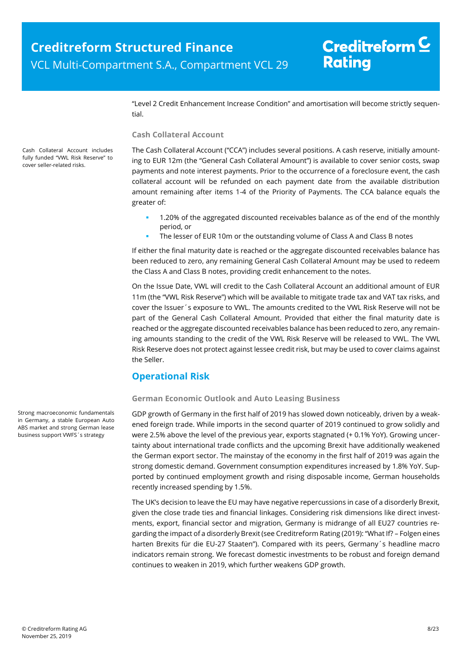"Level 2 Credit Enhancement Increase Condition" and amortisation will become strictly sequential.

#### **Cash Collateral Account**

The Cash Collateral Account ("CCA") includes several positions. A cash reserve, initially amounting to EUR 12m (the "General Cash Collateral Amount") is available to cover senior costs, swap payments and note interest payments. Prior to the occurrence of a foreclosure event, the cash collateral account will be refunded on each payment date from the available distribution amount remaining after items 1-4 of the [Priority of Payments.](#page-6-1) The CCA balance equals the greater of:

- 1.20% of the aggregated discounted receivables balance as of the end of the monthly period, or
- The lesser of EUR 10m or the outstanding volume of Class A and Class B notes

If either the final maturity date is reached or the aggregate discounted receivables balance has been reduced to zero, any remaining General Cash Collateral Amount may be used to redeem the Class A and Class B notes, providing credit enhancement to the notes.

On the Issue Date, VWL will credit to the Cash Collateral Account an additional amount of EUR 11m (the "VWL Risk Reserve") which will be available to mitigate trade tax and VAT tax risks, and cover the Issuer´s exposure to VWL. The amounts credited to the VWL Risk Reserve will not be part of the General Cash Collateral Amount. Provided that either the final maturity date is reached or the aggregate discounted receivables balance has been reduced to zero, any remaining amounts standing to the credit of the VWL Risk Reserve will be released to VWL. The VWL Risk Reserve does not protect against lessee credit risk, but may be used to cover claims against the Seller.

### <span id="page-7-0"></span>**Operational Risk**

#### **German Economic Outlook and Auto Leasing Business**

GDP growth of Germany in the first half of 2019 has slowed down noticeably, driven by a weakened foreign trade. While imports in the second quarter of 2019 continued to grow solidly and were 2.5% above the level of the previous year, exports stagnated (+ 0.1% YoY). Growing uncertainty about international trade conflicts and the upcoming Brexit have additionally weakened the German export sector. The mainstay of the economy in the first half of 2019 was again the strong domestic demand. Government consumption expenditures increased by 1.8% YoY. Supported by continued employment growth and rising disposable income, German households recently increased spending by 1.5%.

The UK's decision to leave the EU may have negative repercussions in case of a disorderly Brexit, given the close trade ties and financial linkages. Considering risk dimensions like direct investments, export, financial sector and migration, Germany is midrange of all EU27 countries regarding the impact of a disorderly Brexit (see Creditreform Rating (2019): "What If? – Folgen eines harten Brexits für die EU-27 Staaten"). Compared with its peers, Germany´s headline macro indicators remain strong. We forecast domestic investments to be robust and foreign demand continues to weaken in 2019, which further weakens GDP growth.

Cash Collateral Account includes fully funded "VWL Risk Reserve" to cover seller-related risks.

Strong macroeconomic fundamentals in Germany, a stable European Auto ABS market and strong German lease business support VWFS´s strategy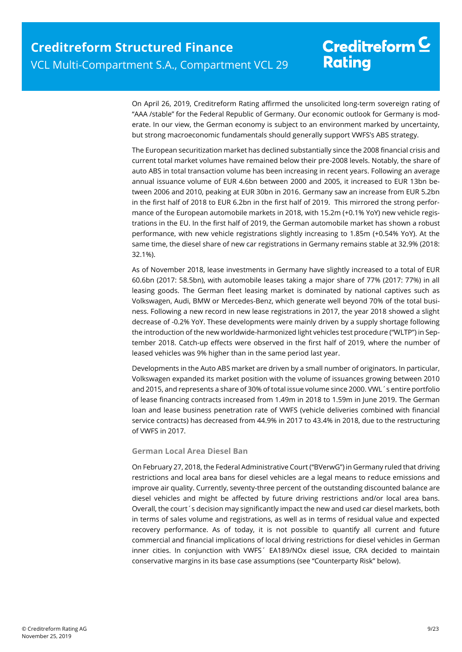On April 26, 2019, Creditreform Rating affirmed the unsolicited long-term sovereign rating of "AAA /stable" for the Federal Republic of Germany. Our economic outlook for Germany is moderate. In our view, the German economy is subject to an environment marked by uncertainty, but strong macroeconomic fundamentals should generally support VWFS's ABS strategy.

The European securitization market has declined substantially since the 2008 financial crisis and current total market volumes have remained below their pre-2008 levels. Notably, the share of auto ABS in total transaction volume has been increasing in recent years. Following an average annual issuance volume of EUR 4.6bn between 2000 and 2005, it increased to EUR 13bn between 2006 and 2010, peaking at EUR 30bn in 2016. Germany saw an increase from EUR 5.2bn in the first half of 2018 to EUR 6.2bn in the first half of 2019. This mirrored the strong performance of the European automobile markets in 2018, with 15.2m (+0.1% YoY) new vehicle registrations in the EU. In the first half of 2019, the German automobile market has shown a robust performance, with new vehicle registrations slightly increasing to 1.85m (+0.54% YoY). At the same time, the diesel share of new car registrations in Germany remains stable at 32.9% (2018: 32.1%).

As of November 2018, lease investments in Germany have slightly increased to a total of EUR 60.6bn (2017: 58.5bn), with automobile leases taking a major share of 77% (2017: 77%) in all leasing goods. The German fleet leasing market is dominated by national captives such as Volkswagen, Audi, BMW or Mercedes-Benz, which generate well beyond 70% of the total business. Following a new record in new lease registrations in 2017, the year 2018 showed a slight decrease of -0.2% YoY. These developments were mainly driven by a supply shortage following the introduction of the new worldwide-harmonized light vehicles test procedure ("WLTP") in September 2018. Catch-up effects were observed in the first half of 2019, where the number of leased vehicles was 9% higher than in the same period last year.

Developments in the Auto ABS market are driven by a small number of originators. In particular, Volkswagen expanded its market position with the volume of issuances growing between 2010 and 2015, and represents a share of 30% of total issue volume since 2000. VWL´s entire portfolio of lease financing contracts increased from 1.49m in 2018 to 1.59m in June 2019. The German loan and lease business penetration rate of VWFS (vehicle deliveries combined with financial service contracts) has decreased from 44.9% in 2017 to 43.4% in 2018, due to the restructuring of VWFS in 2017.

#### **German Local Area Diesel Ban**

On February 27, 2018, the Federal Administrative Court ("BVerwG") in Germany ruled that driving restrictions and local area bans for diesel vehicles are a legal means to reduce emissions and improve air quality. Currently, seventy-three percent of the outstanding discounted balance are diesel vehicles and might be affected by future driving restrictions and/or local area bans. Overall, the court´s decision may significantly impact the new and used car diesel markets, both in terms of sales volume and registrations, as well as in terms of residual value and expected recovery performance. As of today, it is not possible to quantify all current and future commercial and financial implications of local driving restrictions for diesel vehicles in German inner cities. In conjunction with VWFS´ EA189/NOx diesel issue, CRA decided to maintain conservative margins in its base case assumptions (see "Counterparty Risk" below).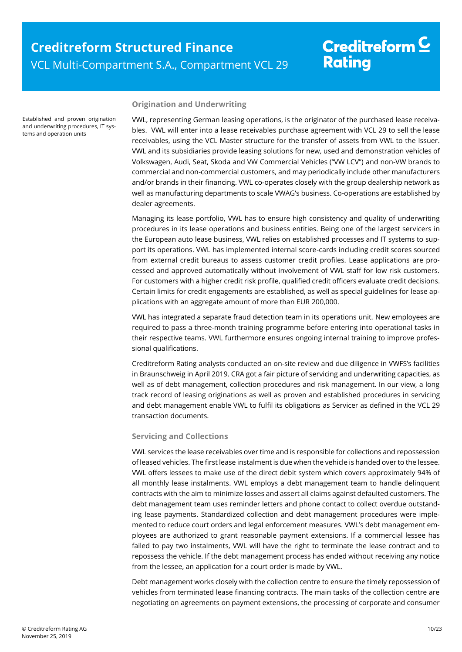Established and proven origination and underwriting procedures, IT systems and operation units

#### **Origination and Underwriting**

VWL, representing German leasing operations, is the originator of the purchased lease receivables. VWL will enter into a lease receivables purchase agreement with VCL 29 to sell the lease receivables, using the VCL Master structure for the transfer of assets from VWL to the Issuer. VWL and its subsidiaries provide leasing solutions for new, used and demonstration vehicles of Volkswagen, Audi, Seat, Skoda and VW Commercial Vehicles ("VW LCV") and non-VW brands to commercial and non-commercial customers, and may periodically include other manufacturers and/or brands in their financing. VWL co-operates closely with the group dealership network as well as manufacturing departments to scale VWAG's business. Co-operations are established by dealer agreements.

Managing its lease portfolio, VWL has to ensure high consistency and quality of underwriting procedures in its lease operations and business entities. Being one of the largest servicers in the European auto lease business, VWL relies on established processes and IT systems to support its operations. VWL has implemented internal score-cards including credit scores sourced from external credit bureaus to assess customer credit profiles. Lease applications are processed and approved automatically without involvement of VWL staff for low risk customers. For customers with a higher credit risk profile, qualified credit officers evaluate credit decisions. Certain limits for credit engagements are established, as well as special guidelines for lease applications with an aggregate amount of more than EUR 200,000.

VWL has integrated a separate fraud detection team in its operations unit. New employees are required to pass a three-month training programme before entering into operational tasks in their respective teams. VWL furthermore ensures ongoing internal training to improve professional qualifications.

Creditreform Rating analysts conducted an on-site review and due diligence in VWFS's facilities in Braunschweig in April 2019. CRA got a fair picture of servicing and underwriting capacities, as well as of debt management, collection procedures and risk management. In our view, a long track record of leasing originations as well as proven and established procedures in servicing and debt management enable VWL to fulfil its obligations as Servicer as defined in the VCL 29 transaction documents.

#### <span id="page-9-0"></span>**Servicing and Collections**

VWL services the lease receivables over time and is responsible for collections and repossession of leased vehicles. The first lease instalment is due when the vehicle is handed over to the lessee. VWL offers lessees to make use of the direct debit system which covers approximately 94% of all monthly lease instalments. VWL employs a debt management team to handle delinquent contracts with the aim to minimize losses and assert all claims against defaulted customers. The debt management team uses reminder letters and phone contact to collect overdue outstanding lease payments. Standardized collection and debt management procedures were implemented to reduce court orders and legal enforcement measures. VWL's debt management employees are authorized to grant reasonable payment extensions. If a commercial lessee has failed to pay two instalments, VWL will have the right to terminate the lease contract and to repossess the vehicle. If the debt management process has ended without receiving any notice from the lessee, an application for a court order is made by VWL.

Debt management works closely with the collection centre to ensure the timely repossession of vehicles from terminated lease financing contracts. The main tasks of the collection centre are negotiating on agreements on payment extensions, the processing of corporate and consumer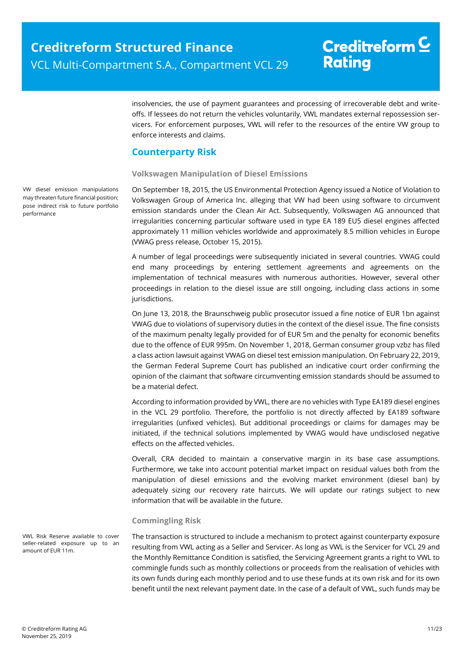insolvencies, the use of payment guarantees and processing of irrecoverable debt and writeoffs. If lessees do not return the vehicles voluntarily, VWL mandates external repossession servicers. For enforcement purposes, VWL will refer to the resources of the entire VW group to enforce interests and claims.

### <span id="page-10-0"></span>**Counterparty Risk**

#### **Volkswagen Manipulation of Diesel Emissions**

On September 18, 2015, the US Environmental Protection Agency issued a Notice of Violation to Volkswagen Group of America Inc. alleging that VW had been using software to circumvent emission standards under the Clean Air Act. Subsequently, Volkswagen AG announced that irregularities concerning particular software used in type EA 189 EU5 diesel engines affected approximately 11 million vehicles worldwide and approximately 8.5 million vehicles in Europe (VWAG press release, October 15, 2015).

A number of legal proceedings were subsequently iniciated in several countries. VWAG could end many proceedings by entering settlement agreements and agreements on the implementation of technical measures with numerous authorities. However, several other proceedings in relation to the diesel issue are still ongoing, including class actions in some jurisdictions.

On June 13, 2018, the Braunschweig public prosecutor issued a fine notice of EUR 1bn against VWAG due to violations of supervisory duties in the context of the diesel issue. The fine consists of the maximum penalty legally provided for of EUR 5m and the penalty for economic benefits due to the offence of EUR 995m. On November 1, 2018, German consumer group vzbz has filed a class action lawsuit against VWAG on diesel test emission manipulation. On February 22, 2019, the German Federal Supreme Court has published an indicative court order confirming the opinion of the claimant that software circumventing emission standards should be assumed to be a material defect.

According to information provided by VWL, there are no vehicles with Type EA189 diesel engines in the VCL 29 portfolio. Therefore, the portfolio is not directly affected by EA189 software irregularities (unfixed vehicles). But additional proceedings or claims for damages may be initiated, if the technical solutions implemented by VWAG would have undisclosed negative effects on the affected vehicles.

Overall, CRA decided to maintain a conservative margin in its base case assumptions. Furthermore, we take into account potential market impact on residual values both from the manipulation of diesel emissions and the evolving market environment (diesel ban) by adequately sizing our recovery rate haircuts. We will update our ratings subject to new information that will be available in the future.

#### **Commingling Risk**

The transaction is structured to include a mechanism to protect against counterparty exposure resulting from VWL acting as a Seller and Servicer. As long as VWL is the Servicer for VCL 29 and the Monthly Remittance Condition is satisfied, the Servicing Agreement grants a right to VWL to commingle funds such as monthly collections or proceeds from the realisation of vehicles with its own funds during each monthly period and to use these funds at its own risk and for its own benefit until the next relevant payment date. In the case of a default of VWL, such funds may be

VW diesel emission manipulations may threaten future financial position; pose indirect risk to future portfolio performance

VWL Risk Reserve available to cover seller-related exposure up to an amount of EUR 11m.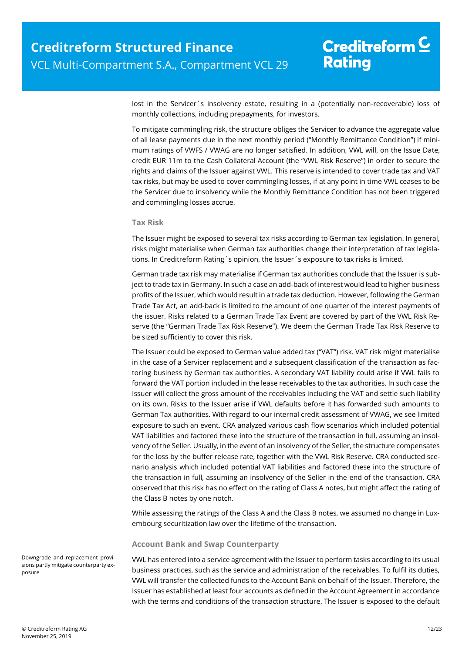lost in the Servicer´s insolvency estate, resulting in a (potentially non-recoverable) loss of monthly collections, including prepayments, for investors.

To mitigate commingling risk, the structure obliges the Servicer to advance the aggregate value of all lease payments due in the next monthly period ("Monthly Remittance Condition") if minimum ratings of VWFS / VWAG are no longer satisfied. In addition, VWL will, on the Issue Date, credit EUR 11m to the Cash Collateral Account (the "VWL Risk Reserve") in order to secure the rights and claims of the Issuer against VWL. This reserve is intended to cover trade tax and VAT tax risks, but may be used to cover commingling losses, if at any point in time VWL ceases to be the Servicer due to insolvency while the Monthly Remittance Condition has not been triggered and commingling losses accrue.

#### **Tax Risk**

The Issuer might be exposed to several tax risks according to German tax legislation. In general, risks might materialise when German tax authorities change their interpretation of tax legislations. In Creditreform Rating´s opinion, the Issuer´s exposure to tax risks is limited.

German trade tax risk may materialise if German tax authorities conclude that the Issuer is subject to trade tax in Germany. In such a case an add-back of interest would lead to higher business profits of the Issuer, which would result in a trade tax deduction. However, following the German Trade Tax Act, an add-back is limited to the amount of one quarter of the interest payments of the issuer. Risks related to a German Trade Tax Event are covered by part of the VWL Risk Reserve (the "German Trade Tax Risk Reserve"). We deem the German Trade Tax Risk Reserve to be sized sufficiently to cover this risk.

The Issuer could be exposed to German value added tax ("VAT") risk. VAT risk might materialise in the case of a Servicer replacement and a subsequent classification of the transaction as factoring business by German tax authorities. A secondary VAT liability could arise if VWL fails to forward the VAT portion included in the lease receivables to the tax authorities. In such case the Issuer will collect the gross amount of the receivables including the VAT and settle such liability on its own. Risks to the Issuer arise if VWL defaults before it has forwarded such amounts to German Tax authorities. With regard to our internal credit assessment of VWAG, we see limited exposure to such an event. CRA analyzed various cash flow scenarios which included potential VAT liabilities and factored these into the structure of the transaction in full, assuming an insolvency of the Seller. Usually, in the event of an insolvency of the Seller, the structure compensates for the loss by the buffer release rate, together with the VWL Risk Reserve. CRA conducted scenario analysis which included potential VAT liabilities and factored these into the structure of the transaction in full, assuming an insolvency of the Seller in the end of the transaction. CRA observed that this risk has no effect on the rating of Class A notes, but might affect the rating of the Class B notes by one notch.

While assessing the ratings of the Class A and the Class B notes, we assumed no change in Luxembourg securitization law over the lifetime of the transaction.

#### **Account Bank and Swap Counterparty**

VWL has entered into a service agreement with the Issuer to perform tasks according to its usual business practices, such as the service and administration of the receivables. To fulfil its duties, VWL will transfer the collected funds to the Account Bank on behalf of the Issuer. Therefore, the Issuer has established at least four accounts as defined in the Account Agreement in accordance with the terms and conditions of the transaction structure. The Issuer is exposed to the default

Downgrade and replacement provisions partly mitigate counterparty exposure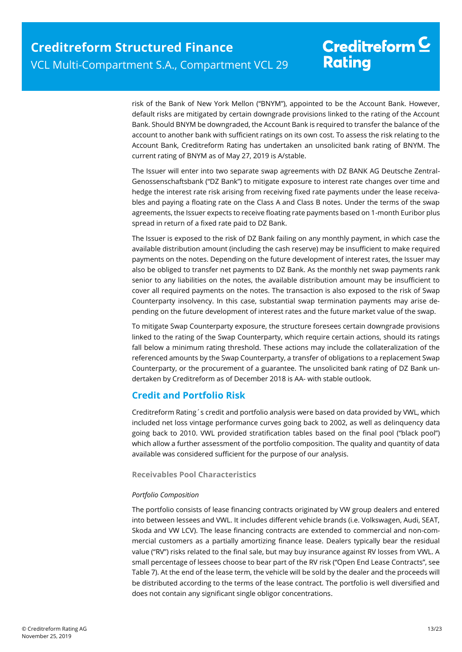risk of the Bank of New York Mellon ("BNYM"), appointed to be the Account Bank. However, default risks are mitigated by certain downgrade provisions linked to the rating of the Account Bank. Should BNYM be downgraded, the Account Bank is required to transfer the balance of the account to another bank with sufficient ratings on its own cost. To assess the risk relating to the Account Bank, Creditreform Rating has undertaken an unsolicited bank rating of BNYM. The current rating of BNYM as of May 27, 2019 is A/stable.

The Issuer will enter into two separate swap agreements with DZ BANK AG Deutsche Zentral-Genossenschaftsbank ("DZ Bank") to mitigate exposure to interest rate changes over time and hedge the interest rate risk arising from receiving fixed rate payments under the lease receivables and paying a floating rate on the Class A and Class B notes. Under the terms of the swap agreements, the Issuer expects to receive floating rate payments based on 1-month Euribor plus spread in return of a fixed rate paid to DZ Bank.

The Issuer is exposed to the risk of DZ Bank failing on any monthly payment, in which case the available distribution amount (including the cash reserve) may be insufficient to make required payments on the notes. Depending on the future development of interest rates, the Issuer may also be obliged to transfer net payments to DZ Bank. As the monthly net swap payments rank senior to any liabilities on the notes, the available distribution amount may be insufficient to cover all required payments on the notes. The transaction is also exposed to the risk of Swap Counterparty insolvency. In this case, substantial swap termination payments may arise depending on the future development of interest rates and the future market value of the swap.

To mitigate Swap Counterparty exposure, the structure foresees certain downgrade provisions linked to the rating of the Swap Counterparty, which require certain actions, should its ratings fall below a minimum rating threshold. These actions may include the collateralization of the referenced amounts by the Swap Counterparty, a transfer of obligations to a replacement Swap Counterparty, or the procurement of a guarantee. The unsolicited bank rating of DZ Bank undertaken by Creditreform as of December 2018 is AA- with stable outlook.

### <span id="page-12-0"></span>**Credit and Portfolio Risk**

Creditreform Rating´s credit and portfolio analysis were based on data provided by VWL, which included net loss vintage performance curves going back to 2002, as well as delinquency data going back to 2010. VWL provided stratification tables based on the final pool ("black pool") which allow a further assessment of the portfolio composition. The quality and quantity of data available was considered sufficient for the purpose of our analysis.

#### **Receivables Pool Characteristics**

#### *Portfolio Composition*

The portfolio consists of lease financing contracts originated by VW group dealers and entered into between lessees and VWL. It includes different vehicle brands (i.e. Volkswagen, Audi, SEAT, Skoda and VW LCV). The lease financing contracts are extended to commercial and non-commercial customers as a partially amortizing finance lease. Dealers typically bear the residual value ("RV") risks related to the final sale, but may buy insurance against RV losses from VWL. A small percentage of lessees choose to bear part of the RV risk ("Open End Lease Contracts", see [Table 7\)](#page-13-0). At the end of the lease term, the vehicle will be sold by the dealer and the proceeds will be distributed according to the terms of the lease contract. The portfolio is well diversified and does not contain any significant single obligor concentrations.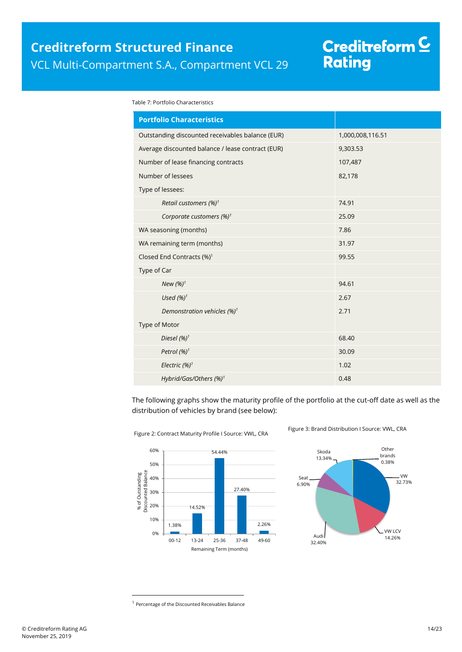# Creditreform C<br>Rating

<span id="page-13-0"></span>Table 7: Portfolio Characteristics

| <b>Portfolio Characteristics</b>                  |                  |
|---------------------------------------------------|------------------|
| Outstanding discounted receivables balance (EUR)  | 1,000,008,116.51 |
| Average discounted balance / lease contract (EUR) | 9,303.53         |
| Number of lease financing contracts               | 107,487          |
| Number of lessees                                 | 82,178           |
| Type of lessees:                                  |                  |
| Retail customers (%) <sup>1</sup>                 | 74.91            |
| Corporate customers $(\%)^1$                      | 25.09            |
| WA seasoning (months)                             | 7.86             |
| WA remaining term (months)                        | 31.97            |
| Closed End Contracts (%) <sup>1</sup>             | 99.55            |
| Type of Car                                       |                  |
| New (%) <sup>1</sup>                              | 94.61            |
| Used $(%)1$                                       | 2.67             |
| Demonstration vehicles (%) <sup>1</sup>           | 2.71             |
| Type of Motor                                     |                  |
| Diesel $(%)^1$                                    | 68.40            |
| Petrol (%) <sup>1</sup>                           | 30.09            |
| Electric (%) <sup>1</sup>                         | 1.02             |
| Hybrid/Gas/Others (%) <sup>1</sup>                | 0.48             |

The following graphs show the maturity profile of the portfolio at the cut-off date as well as the distribution of vehicles by brand (see below):



Figure 2: Contract Maturity Profile I Source: VWL, CRA

Figure 3: Brand Distribution I Source: VWL, CRA



 $\overline{a}$ 

<sup>&</sup>lt;sup>1</sup> Percentage of the Discounted Receivables Balance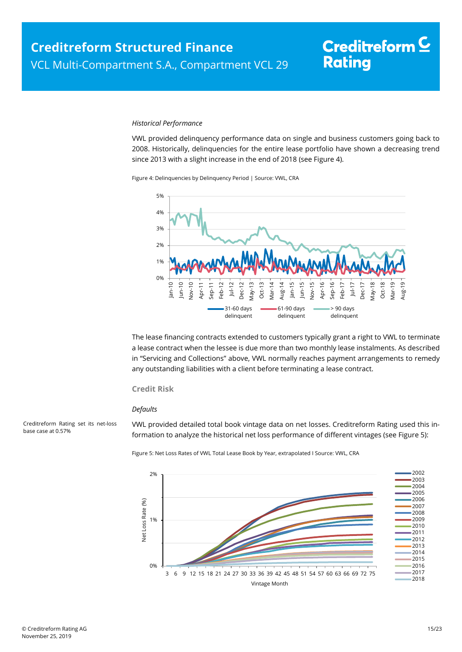#### *Historical Performance*

VWL provided delinquency performance data on single and business customers going back to 2008. Historically, delinquencies for the entire lease portfolio have shown a decreasing trend since 2013 with a slight increase in the end of 2018 (see [Figure 4\)](#page-14-0).

<span id="page-14-0"></span>Figure 4: Delinquencies by Delinquency Period | Source: VWL, CRA



The lease financing contracts extended to customers typically grant a right to VWL to terminate a lease contract when the lessee is due more than two monthly lease instalments. As described in "[Servicing and Collections](#page-9-0)" above, VWL normally reaches payment arrangements to remedy any outstanding liabilities with a client before terminating a lease contract.

#### **Credit Risk**

#### *Defaults*

VWL provided detailed total book vintage data on net losses. Creditreform Rating used this information to analyze the historical net loss performance of different vintages (se[e Figure 5\)](#page-14-1):

Figure 5: Net Loss Rates of VWL Total Lease Book by Year, extrapolated I Source: VWL, CRA



<span id="page-14-1"></span>Creditreform Rating set its net-loss base case at 0.57%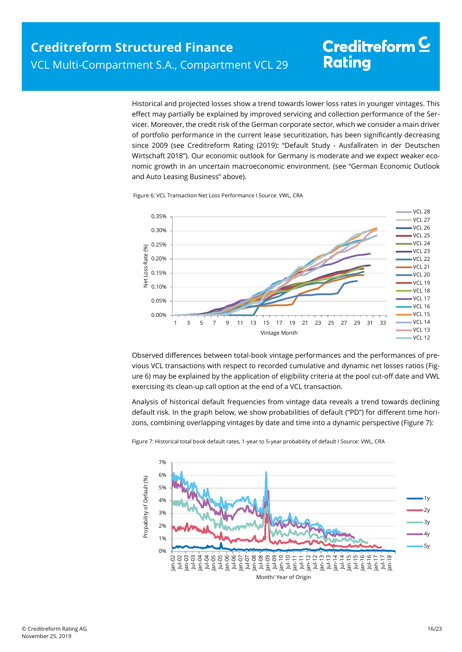Historical and projected losses show a trend towards lower loss rates in younger vintages. This effect may partially be explained by improved servicing and collection performance of the Servicer. Moreover, the credit risk of the German corporate sector, which we consider a main driver of portfolio performance in the current lease securitization, has been significantly decreasing since 2009 (see Creditreform Rating (2019): "Default Study - Ausfallraten in der Deutschen Wirtschaft 2018"). Our economic outlook for Germany is moderate and we expect weaker economic growth in an uncertain macroeconomic environment. (see "German Economic Outlook and Auto Leasing Business" above).

<span id="page-15-0"></span>Figure 6: VCL Transaction Net Loss Performance I Source: VWL, CRA



Observed differences between total-book vintage performances and the performances of previous VCL transactions with respect to recorded cumulative and dynamic net losses ratios [\(Fig](#page-15-0)[ure 6\)](#page-15-0) may be explained by the application of eligibility criteria at the pool cut-off date and VWL exercising its clean-up call option at the end of a VCL transaction.

Analysis of historical default frequencies from vintage data reveals a trend towards declining default risk. In the graph below, we show probabilities of default ("PD") for different time horizons, combining overlapping vintages by date and time into a dynamic perspective [\(Figure 7\)](#page-15-1):

<span id="page-15-1"></span>

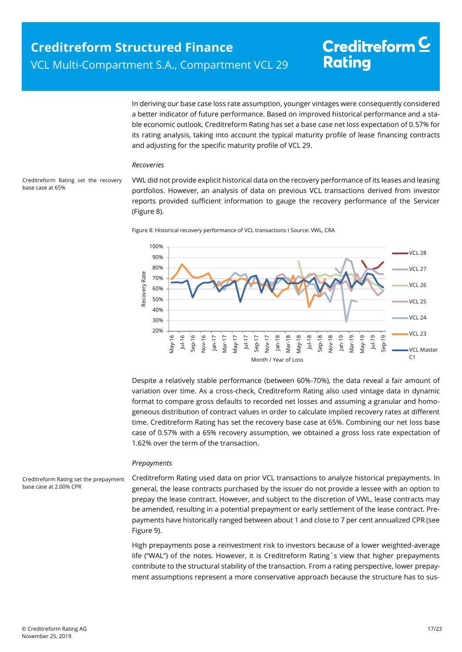In deriving our base case loss rate assumption, younger vintages were consequently considered a better indicator of future performance. Based on improved historical performance and a stable economic outlook, Creditreform Rating has set a base case net loss expectation of 0.57% for its rating analysis, taking into account the typical maturity profile of lease financing contracts and adjusting for the specific maturity profile of VCL 29.

#### *Recoveries*

<span id="page-16-0"></span>Creditreform Rating set the recovery base case at 65%

VWL did not provide explicit historical data on the recovery performance of its leases and leasing portfolios. However, an analysis of data on previous VCL transactions derived from investor reports provided sufficient information to gauge the recovery performance of the Servicer [\(Figure 8\).](#page-16-0)





Despite a relatively stable performance (between 60%-70%), the data reveal a fair amount of variation over time. As a cross-check, Creditreform Rating also used vintage data in dynamic format to compare gross defaults to recorded net losses and assuming a granular and homogeneous distribution of contract values in order to calculate implied recovery rates at different time. Creditreform Rating has set the recovery base case at 65%. Combining our net loss base case of 0.57% with a 65% recovery assumption, we obtained a gross loss rate expectation of 1.62% over the term of the transaction.

#### *Prepayments*

Creditreform Rating set the prepayment base case at 2.00% CPR

Creditreform Rating used data on prior VCL transactions to analyze historical prepayments. In general, the lease contracts purchased by the issuer do not provide a lessee with an option to prepay the lease contract. However, and subject to the discretion of VWL, lease contracts may be amended, resulting in a potential prepayment or early settlement of the lease contract. Prepayments have historically ranged between about 1 and close to 7 per cent annualized CPR (see [Figure 9\)](#page-17-1).

High prepayments pose a reinvestment risk to investors because of a lower weighted-average life ("WAL") of the notes. However, it is Creditreform Rating´s view that higher prepayments contribute to the structural stability of the transaction. From a rating perspective, lower prepayment assumptions represent a more conservative approach because the structure has to sus-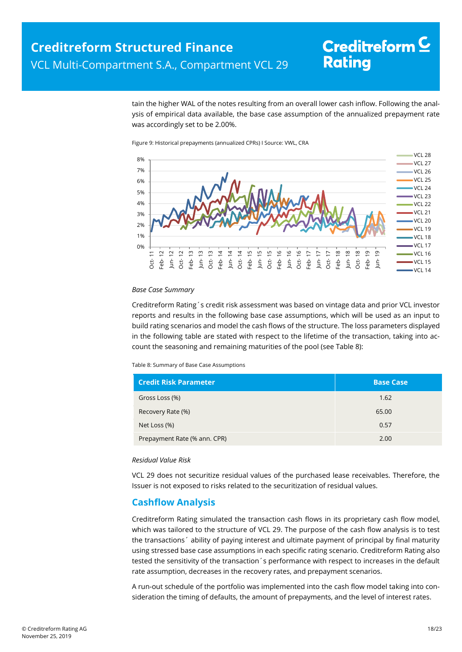tain the higher WAL of the notes resulting from an overall lower cash inflow. Following the analysis of empirical data available, the base case assumption of the annualized prepayment rate was accordingly set to be 2.00%.

<span id="page-17-1"></span>Figure 9: Historical prepayments (annualized CPRs) I Source: VWL, CRA



#### *Base Case Summary*

Creditreform Rating´s credit risk assessment was based on vintage data and prior VCL investor reports and results in the following base case assumptions, which will be used as an input to build rating scenarios and model the cash flows of the structure. The loss parameters displayed in the following table are stated with respect to the lifetime of the transaction, taking into account the seasoning and remaining maturities of the pool (see [Table 8\):](#page-17-2)

<span id="page-17-2"></span>Table 8: Summary of Base Case Assumptions

| <b>Credit Risk Parameter</b> | <b>Base Case</b> |
|------------------------------|------------------|
| Gross Loss (%)               | 1.62             |
| Recovery Rate (%)            | 65.00            |
| Net Loss (%)                 | 0.57             |
| Prepayment Rate (% ann. CPR) | 2.00             |

#### *Residual Value Risk*

VCL 29 does not securitize residual values of the purchased lease receivables. Therefore, the Issuer is not exposed to risks related to the securitization of residual values.

### <span id="page-17-0"></span>**Cashflow Analysis**

Creditreform Rating simulated the transaction cash flows in its proprietary cash flow model, which was tailored to the structure of VCL 29. The purpose of the cash flow analysis is to test the transactions´ ability of paying interest and ultimate payment of principal by final maturity using stressed base case assumptions in each specific rating scenario. Creditreform Rating also tested the sensitivity of the transaction´s performance with respect to increases in the default rate assumption, decreases in the recovery rates, and prepayment scenarios.

A run-out schedule of the portfolio was implemented into the cash flow model taking into consideration the timing of defaults, the amount of prepayments, and the level of interest rates.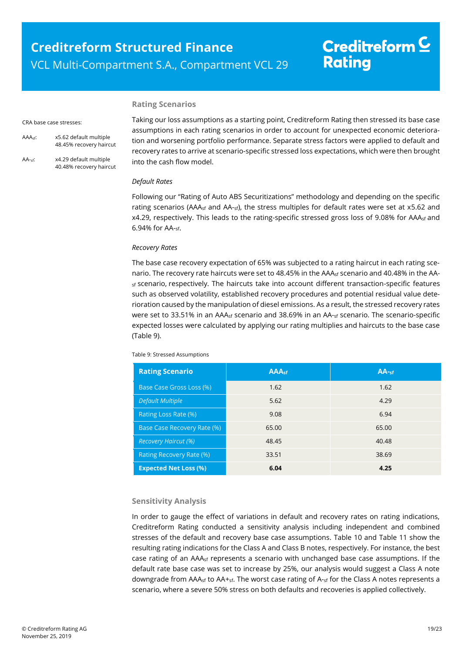#### **Rating Scenarios**

#### CRA base case stresses:

- AAAsf: x5.62 default multiple 48.45% recovery haircut
- AA-sf: x4.29 default multiple 40.48% recovery haircut

Taking our loss assumptions as a starting point, Creditreform Rating then stressed its base case assumptions in each rating scenarios in order to account for unexpected economic deterioration and worsening portfolio performance. Separate stress factors were applied to default and recovery rates to arrive at scenario-specific stressed loss expectations, which were then brought into the cash flow model.

#### *Default Rates*

Following our "Rating of Auto ABS Securitizations" methodology and depending on the specific rating scenarios (AAA<sub>sf</sub> and AA-sf), the stress multiples for default rates were set at x5.62 and x4.29, respectively. This leads to the rating-specific stressed gross loss of 9.08% for AAA<sub>sf</sub> and 6.94% for AA-sf.

#### *Recovery Rates*

The base case recovery expectation of 65% was subjected to a rating haircut in each rating scenario. The recovery rate haircuts were set to 48.45% in the AAA<sub>sf</sub> scenario and 40.48% in the AAsf scenario, respectively. The haircuts take into account different transaction-specific features such as observed volatility, established recovery procedures and potential residual value deterioration caused by the manipulation of diesel emissions. As a result, the stressed recovery rates were set to 33.51% in an AAA<sub>sf</sub> scenario and 38.69% in an AA-sf scenario. The scenario-specific expected losses were calculated by applying our rating multiplies and haircuts to the base case [\(Table 9\)](#page-18-0).

<span id="page-18-0"></span>Table 9: Stressed Assumptions

| <b>Rating Scenario</b>       | <b>AAAst</b> | $AA-sf$ |
|------------------------------|--------------|---------|
| Base Case Gross Loss (%)     | 1.62         | 1.62    |
| <b>Default Multiple</b>      | 5.62         | 4.29    |
| Rating Loss Rate (%)         | 9.08         | 6.94    |
| Base Case Recovery Rate (%)  | 65.00        | 65.00   |
| <b>Recovery Haircut (%)</b>  | 48.45        | 40.48   |
| Rating Recovery Rate (%)     | 33.51        | 38.69   |
| <b>Expected Net Loss (%)</b> | 6.04         | 4.25    |

#### **Sensitivity Analysis**

In order to gauge the effect of variations in default and recovery rates on rating indications, Creditreform Rating conducted a sensitivity analysis including independent and combined stresses of the default and recovery base case assumptions. [Table 10](#page-19-1) and [Table 11](#page-19-2) show the resulting rating indications for the Class A and Class B notes, respectively. For instance, the best case rating of an  $A A_{sf}$  represents a scenario with unchanged base case assumptions. If the default rate base case was set to increase by 25%, our analysis would suggest a Class A note downgrade from AAA<sub>sf</sub> to AA+<sub>sf</sub>. The worst case rating of A-<sub>sf</sub> for the Class A notes represents a scenario, where a severe 50% stress on both defaults and recoveries is applied collectively.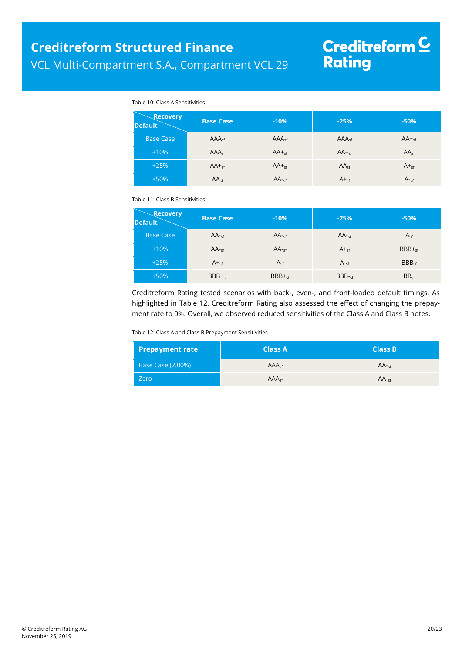# Creditreform <mark>C</mark><br>Rating

#### Table 10: Class A Sensitivities

<span id="page-19-1"></span>

| <b>Recovery</b><br><b>Default</b> | <b>Base Case</b>  | $-10%$            | $-25%$            | $-50%$           |
|-----------------------------------|-------------------|-------------------|-------------------|------------------|
| <b>Base Case</b>                  | AAA <sub>sf</sub> | AAA <sub>sf</sub> | AAA <sub>sf</sub> | $AA +_{sf}$      |
| $+10%$                            | AAA <sub>sf</sub> | $AA +sf$          | $AA +_{sf}$       | AA <sub>sf</sub> |
| $+25%$                            | $AA +sf$          | $AA +sf$          | AA <sub>sf</sub>  | $A +sf$          |
| $+50%$                            | AA <sub>sf</sub>  | $AA -sf$          | $A_{\text{sf}}$   | $A_{\text{sf}}$  |

<span id="page-19-2"></span>Table 11: Class B Sensitivities

| <b>Recovery</b><br><b>Default</b> | <b>Base Case</b> | $-10%$    | $-25%$           | $-50%$            |
|-----------------------------------|------------------|-----------|------------------|-------------------|
| <b>Base Case</b>                  | $AA -sf$         | $AA -cf$  | $AA -cf$         | $A_{sf}$          |
| $+10%$                            | $AA$ -sf         | $AA$ -sf  | $A +sf$          | $BBB +sf$         |
| $+25%$                            | $A_{\text{sf}}$  | $A_{sf}$  | $A_{\text{ref}}$ | BBB <sub>cf</sub> |
| $+50%$                            | $BBB +sf$        | $BBB +sf$ | $BBB-sf$         | BB <sub>sf</sub>  |

Creditreform Rating tested scenarios with back-, even-, and front-loaded default timings. As highlighted in [Table 12,](#page-19-3) Creditreform Rating also assessed the effect of changing the prepayment rate to 0%. Overall, we observed reduced sensitivities of the Class A and Class B notes.

<span id="page-19-3"></span>Table 12: Class A and Class B Prepayment Sensitivities

<span id="page-19-0"></span>

| <b>Prepayment rate</b>   | <b>Class A</b> '  | <b>Class B</b> |
|--------------------------|-------------------|----------------|
| <b>Base Case (2.00%)</b> | AAA <sub>cf</sub> | $AA -cf$       |
| Zero                     | AAA <sub>cf</sub> | $AA -cf$       |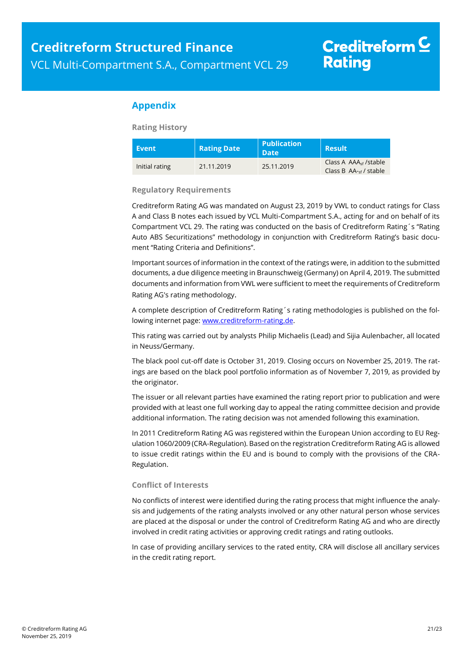### **Appendix**

**Rating History**

| <b>Event</b>   | <b>Rating Date</b> | <b>Publication</b><br><b>Date</b> | <b>Result</b>                                                          |
|----------------|--------------------|-----------------------------------|------------------------------------------------------------------------|
| Initial rating | 21.11.2019         | 25.11.2019                        | Class A $AAA_{\text{cf}}$ /stable<br>Class B $AA_{\text{cf}}$ / stable |

**Regulatory Requirements**

Creditreform Rating AG was mandated on August 23, 2019 by VWL to conduct ratings for Class A and Class B notes each issued by VCL Multi-Compartment S.A., acting for and on behalf of its Compartment VCL 29. The rating was conducted on the basis of Creditreform Rating´s "Rating Auto ABS Securitizations" methodology in conjunction with Creditreform Rating's basic document "Rating Criteria and Definitions".

Important sources of information in the context of the ratings were, in addition to the submitted documents, a due diligence meeting in Braunschweig (Germany) on April 4, 2019. The submitted documents and information from VWL were sufficient to meet the requirements of Creditreform Rating AG's rating methodology.

A complete description of Creditreform Rating´s rating methodologies is published on the following internet page: [www.creditreform-rating.de.](http://www.creditreform-rating.de/)

This rating was carried out by analysts Philip Michaelis (Lead) and Sijia Aulenbacher, all located in Neuss/Germany.

The black pool cut-off date is October 31, 2019. Closing occurs on November 25, 2019. The ratings are based on the black pool portfolio information as of November 7, 2019, as provided by the originator.

The issuer or all relevant parties have examined the rating report prior to publication and were provided with at least one full working day to appeal the rating committee decision and provide additional information. The rating decision was not amended following this examination.

In 2011 Creditreform Rating AG was registered within the European Union according to EU Regulation 1060/2009 (CRA-Regulation). Based on the registration Creditreform Rating AG is allowed to issue credit ratings within the EU and is bound to comply with the provisions of the CRA-Regulation.

#### **Conflict of Interests**

No conflicts of interest were identified during the rating process that might influence the analysis and judgements of the rating analysts involved or any other natural person whose services are placed at the disposal or under the control of Creditreform Rating AG and who are directly involved in credit rating activities or approving credit ratings and rating outlooks.

In case of providing ancillary services to the rated entity, CRA will disclose all ancillary services in the credit rating report.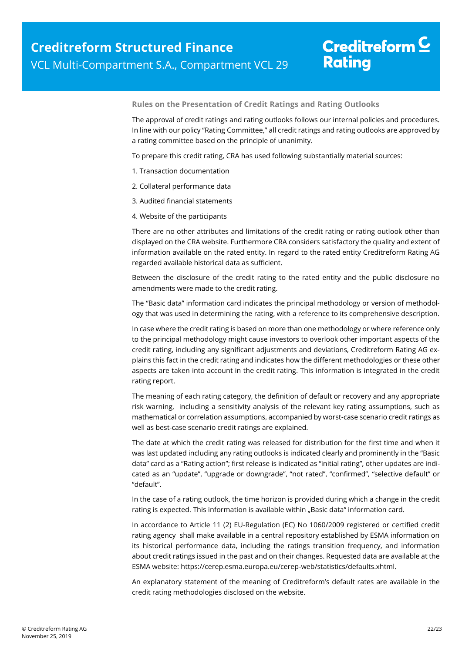**Rules on the Presentation of Credit Ratings and Rating Outlooks**

The approval of credit ratings and rating outlooks follows our internal policies and procedures. In line with our policy "Rating Committee," all credit ratings and rating outlooks are approved by a rating committee based on the principle of unanimity.

To prepare this credit rating, CRA has used following substantially material sources:

- 1. Transaction documentation
- 2. Collateral performance data
- 3. Audited financial statements
- 4. Website of the participants

There are no other attributes and limitations of the credit rating or rating outlook other than displayed on the CRA website. Furthermore CRA considers satisfactory the quality and extent of information available on the rated entity. In regard to the rated entity Creditreform Rating AG regarded available historical data as sufficient.

Between the disclosure of the credit rating to the rated entity and the public disclosure no amendments were made to the credit rating.

The "Basic data" information card indicates the principal methodology or version of methodology that was used in determining the rating, with a reference to its comprehensive description.

In case where the credit rating is based on more than one methodology or where reference only to the principal methodology might cause investors to overlook other important aspects of the credit rating, including any significant adjustments and deviations, Creditreform Rating AG explains this fact in the credit rating and indicates how the different methodologies or these other aspects are taken into account in the credit rating. This information is integrated in the credit rating report.

The meaning of each rating category, the definition of default or recovery and any appropriate risk warning, including a sensitivity analysis of the relevant key rating assumptions, such as mathematical or correlation assumptions, accompanied by worst-case scenario credit ratings as well as best-case scenario credit ratings are explained.

The date at which the credit rating was released for distribution for the first time and when it was last updated including any rating outlooks is indicated clearly and prominently in the "Basic data" card as a "Rating action"; first release is indicated as "initial rating", other updates are indicated as an "update", "upgrade or downgrade", "not rated", "confirmed", "selective default" or "default".

In the case of a rating outlook, the time horizon is provided during which a change in the credit rating is expected. This information is available within "Basic data" information card.

In accordance to Article 11 (2) EU-Regulation (EC) No 1060/2009 registered or certified credit rating agency shall make available in a central repository established by ESMA information on its historical performance data, including the ratings transition frequency, and information about credit ratings issued in the past and on their changes. Requested data are available at the ESMA website: https://cerep.esma.europa.eu/cerep-web/statistics/defaults.xhtml.

An explanatory statement of the meaning of Creditreform's default rates are available in the credit rating methodologies disclosed on the website.